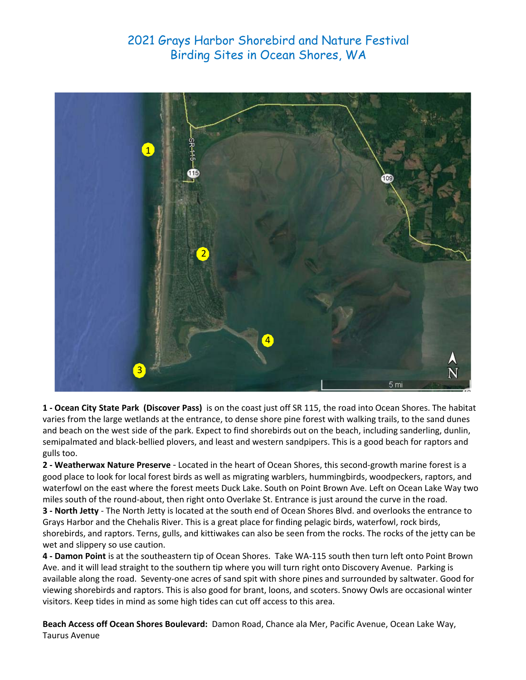

**1 ‐ Ocean City State Park (Discover Pass)**  is on the coast just off SR 115, the road into Ocean Shores. The habitat varies from the large wetlands at the entrance, to dense shore pine forest with walking trails, to the sand dunes and beach on the west side of the park. Expect to find shorebirds out on the beach, including sanderling, dunlin, semipalmated and black‐bellied plovers, and least and western sandpipers. This is a good beach for raptors and gulls too.

**2 ‐ Weatherwax Nature Preserve** ‐ Located in the heart of Ocean Shores, this second‐growth marine forest is a good place to look for local forest birds as well as migrating warblers, hummingbirds, woodpeckers, raptors, and waterfowl on the east where the forest meets Duck Lake. South on Point Brown Ave. Left on Ocean Lake Way two miles south of the round‐about, then right onto Overlake St. Entrance is just around the curve in the road.

**3 ‐ North Jetty** ‐ The North Jetty is located at the south end of Ocean Shores Blvd. and overlooks the entrance to Grays Harbor and the Chehalis River. This is a great place for finding pelagic birds, waterfowl, rock birds, shorebirds, and raptors. Terns, gulls, and kittiwakes can also be seen from the rocks. The rocks of the jetty can be wet and slippery so use caution.

**4 ‐ Damon Point** is at the southeastern tip of Ocean Shores. Take WA‐115 south then turn left onto Point Brown Ave. and it will lead straight to the southern tip where you will turn right onto Discovery Avenue. Parking is available along the road. Seventy‐one acres of sand spit with shore pines and surrounded by saltwater. Good for viewing shorebirds and raptors. This is also good for brant, loons, and scoters. Snowy Owls are occasional winter visitors. Keep tides in mind as some high tides can cut off access to this area.

**Beach Access off Ocean Shores Boulevard:** Damon Road, Chance ala Mer, Pacific Avenue, Ocean Lake Way, Taurus Avenue